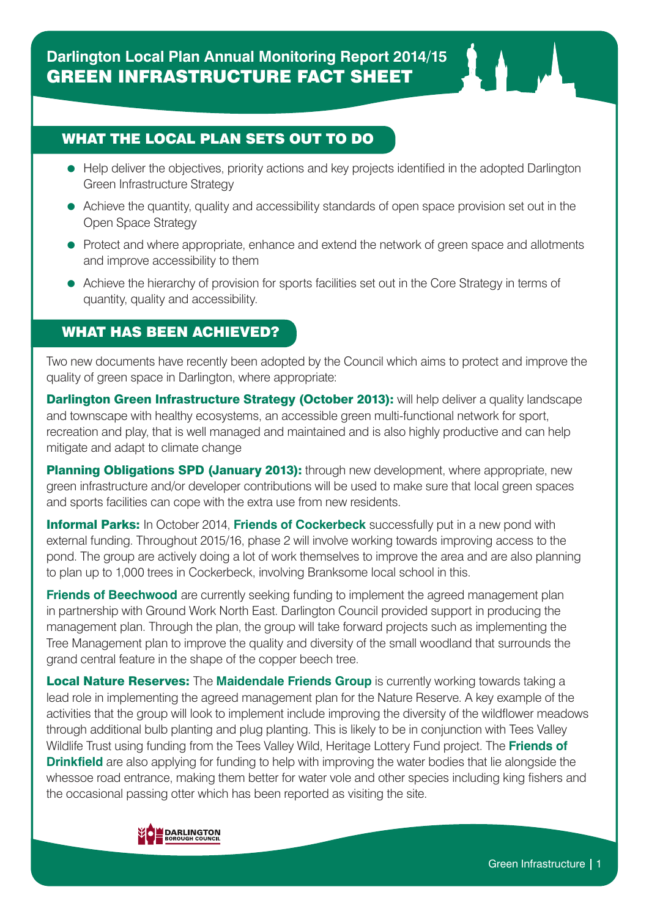## WHAT THE LOCAL PLAN SETS OUT TO DO

- Help deliver the objectives, priority actions and key projects identified in the adopted Darlington Green Infrastructure Strategy
- Achieve the quantity, quality and accessibility standards of open space provision set out in the Open Space Strategy
- Protect and where appropriate, enhance and extend the network of green space and allotments and improve accessibility to them
- Achieve the hierarchy of provision for sports facilities set out in the Core Strategy in terms of quantity, quality and accessibility.

### WHAT HAS BEEN ACHIEVED?

Two new documents have recently been adopted by the Council which aims to protect and improve the quality of green space in Darlington, where appropriate:

Darlington Green Infrastructure Strategy (October 2013): will help deliver a quality landscape and townscape with healthy ecosystems, an accessible green multi-functional network for sport, recreation and play, that is well managed and maintained and is also highly productive and can help mitigate and adapt to climate change

Planning Obligations SPD (January 2013): through new development, where appropriate, new green infrastructure and/or developer contributions will be used to make sure that local green spaces and sports facilities can cope with the extra use from new residents.

**Informal Parks:** In October 2014, **Friends of Cockerbeck** successfully put in a new pond with external funding. Throughout 2015/16, phase 2 will involve working towards improving access to the pond. The group are actively doing a lot of work themselves to improve the area and are also planning to plan up to 1,000 trees in Cockerbeck, involving Branksome local school in this.

**Friends of Beechwood** are currently seeking funding to implement the agreed management plan in partnership with Ground Work North East. Darlington Council provided support in producing the management plan. Through the plan, the group will take forward projects such as implementing the Tree Management plan to improve the quality and diversity of the small woodland that surrounds the grand central feature in the shape of the copper beech tree.

**Local Nature Reserves:** The **Maidendale Friends Group** is currently working towards taking a lead role in implementing the agreed management plan for the Nature Reserve. A key example of the activities that the group will look to implement include improving the diversity of the wildflower meadows through additional bulb planting and plug planting. This is likely to be in conjunction with Tees Valley Wildlife Trust using funding from the Tees Valley Wild, Heritage Lottery Fund project. The **Friends of Drinkfield** are also applying for funding to help with improving the water bodies that lie alongside the whessoe road entrance, making them better for water vole and other species including king fishers and the occasional passing otter which has been reported as visiting the site.

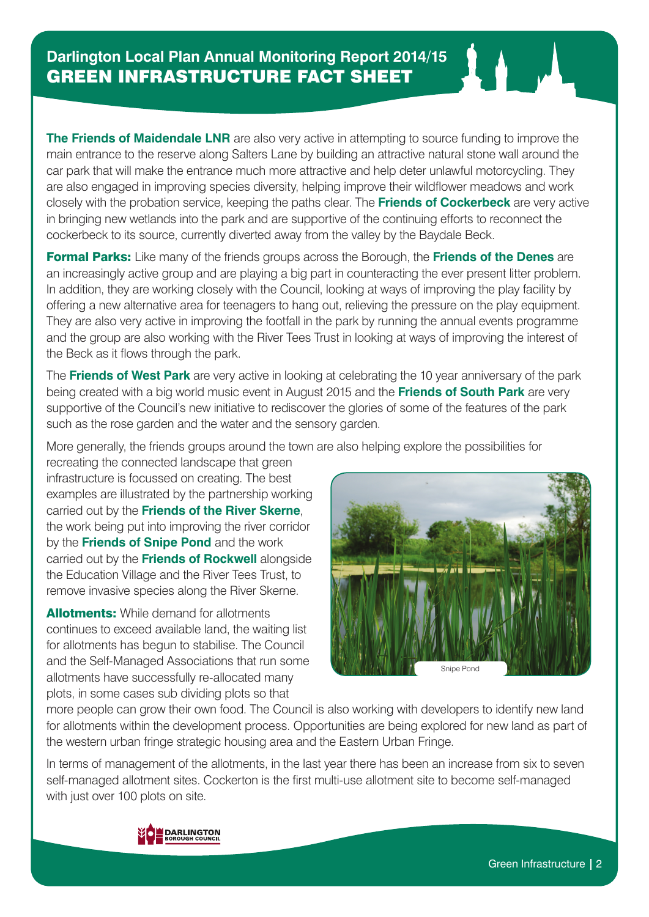**The Friends of Maidendale LNR** are also very active in attempting to source funding to improve the main entrance to the reserve along Salters Lane by building an attractive natural stone wall around the car park that will make the entrance much more attractive and help deter unlawful motorcycling. They are also engaged in improving species diversity, helping improve their wildflower meadows and work closely with the probation service, keeping the paths clear. The **Friends of Cockerbeck** are very active in bringing new wetlands into the park and are supportive of the continuing efforts to reconnect the cockerbeck to its source, currently diverted away from the valley by the Baydale Beck.

Formal Parks: Like many of the friends groups across the Borough, the **Friends of the Denes** are an increasingly active group and are playing a big part in counteracting the ever present litter problem. In addition, they are working closely with the Council, looking at ways of improving the play facility by offering a new alternative area for teenagers to hang out, relieving the pressure on the play equipment. They are also very active in improving the footfall in the park by running the annual events programme and the group are also working with the River Tees Trust in looking at ways of improving the interest of the Beck as it flows through the park.

The **Friends of West Park** are very active in looking at celebrating the 10 year anniversary of the park being created with a big world music event in August 2015 and the **Friends of South Park** are very supportive of the Council's new initiative to rediscover the glories of some of the features of the park such as the rose garden and the water and the sensory garden.

More generally, the friends groups around the town are also helping explore the possibilities for

recreating the connected landscape that green infrastructure is focussed on creating. The best examples are illustrated by the partnership working carried out by the **Friends of the River Skerne**, the work being put into improving the river corridor by the **Friends of Snipe Pond** and the work carried out by the **Friends of Rockwell** alongside the Education Village and the River Tees Trust, to remove invasive species along the River Skerne.

**Allotments:** While demand for allotments continues to exceed available land, the waiting list for allotments has begun to stabilise. The Council and the Self-Managed Associations that run some allotments have successfully re-allocated many plots, in some cases sub dividing plots so that



more people can grow their own food. The Council is also working with developers to identify new land for allotments within the development process. Opportunities are being explored for new land as part of the western urban fringe strategic housing area and the Eastern Urban Fringe.

In terms of management of the allotments, in the last year there has been an increase from six to seven self-managed allotment sites. Cockerton is the first multi-use allotment site to become self-managed with just over 100 plots on site.

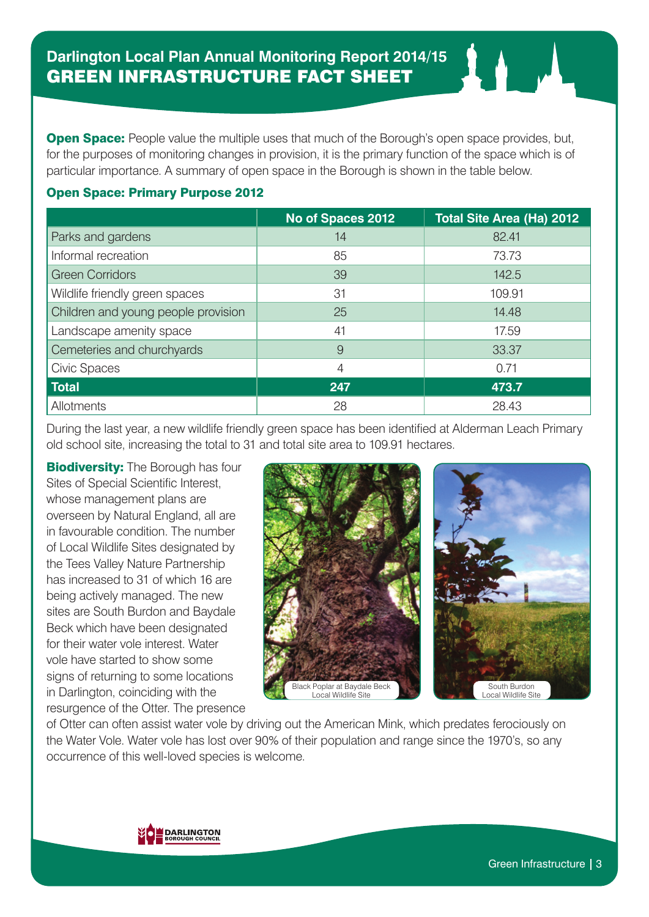**Open Space:** People value the multiple uses that much of the Borough's open space provides, but, for the purposes of monitoring changes in provision, it is the primary function of the space which is of particular importance. A summary of open space in the Borough is shown in the table below.

#### Open Space: Primary Purpose 2012

|                                     | No of Spaces 2012 | Total Site Area (Ha) 2012 |
|-------------------------------------|-------------------|---------------------------|
| Parks and gardens                   | 14                | 82.41                     |
| Informal recreation                 | 85                | 73.73                     |
| <b>Green Corridors</b>              | 39                | 142.5                     |
| Wildlife friendly green spaces      | 31                | 109.91                    |
| Children and young people provision | 25                | 14.48                     |
| Landscape amenity space             | 41                | 17.59                     |
| Cemeteries and churchyards          | 9                 | 33.37                     |
| <b>Civic Spaces</b>                 | $\overline{4}$    | 0.71                      |
| <b>Total</b>                        | 247               | 473.7                     |
| Allotments                          | 28                | 28.43                     |

During the last year, a new wildlife friendly green space has been identified at Alderman Leach Primary old school site, increasing the total to 31 and total site area to 109.91 hectares.

**Biodiversity:** The Borough has four Sites of Special Scientific Interest, whose management plans are overseen by Natural England, all are in favourable condition. The number of Local Wildlife Sites designated by the Tees Valley Nature Partnership has increased to 31 of which 16 are being actively managed. The new sites are South Burdon and Baydale Beck which have been designated for their water vole interest. Water vole have started to show some signs of returning to some locations in Darlington, coinciding with the resurgence of the Otter. The presence





of Otter can often assist water vole by driving out the American Mink, which predates ferociously on the Water Vole. Water vole has lost over 90% of their population and range since the 1970's, so any occurrence of this well-loved species is welcome.